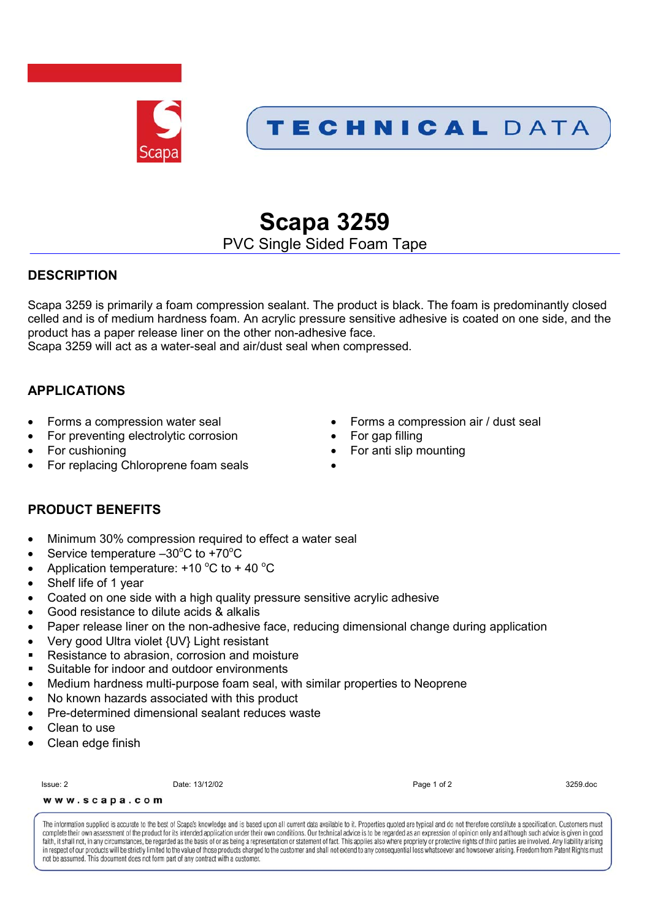

## TECHNICAL DATA

# **Scapa 3259**

PVC Single Sided Foam Tape

#### **DESCRIPTION**

Scapa 3259 is primarily a foam compression sealant. The product is black. The foam is predominantly closed celled and is of medium hardness foam. An acrylic pressure sensitive adhesive is coated on one side, and the product has a paper release liner on the other non-adhesive face.

Scapa 3259 will act as a water-seal and air/dust seal when compressed.

#### **APPLICATIONS**

- 
- For preventing electrolytic corrosion For gap filling
- 
- For replacing Chloroprene foam seals
- Forms a compression water seal **Exercise Secure 1** Forms a compression air / dust seal
	-
- For cushioning For anti slip mounting
	-

#### **PRODUCT BENEFITS**

- Minimum 30% compression required to effect a water seal
- Service temperature  $-30^{\circ}$ C to +70 $^{\circ}$ C
- Application temperature:  $+10\degree C$  to  $+40\degree C$
- Shelf life of 1 year
- Coated on one side with a high quality pressure sensitive acrylic adhesive
- Good resistance to dilute acids & alkalis
- Paper release liner on the non-adhesive face, reducing dimensional change during application
- Very good Ultra violet {UV} Light resistant
- Resistance to abrasion, corrosion and moisture
- Suitable for indoor and outdoor environments
- Medium hardness multi-purpose foam seal, with similar properties to Neoprene
- No known hazards associated with this product
- Pre-determined dimensional sealant reduces waste
- Clean to use
- Clean edge finish

Issue: 2 Date: 13/12/02 Page 1 of 2 3259.doc

www.scapa.com

The information supplied is accurate to the best of Scapa's knowledge and is based upon all current data available to it. Properties quoted are typical and do not therefore constitute a specification. Customers must complete their own assessment of the product for its intended application under their own conditions. Our technical advice is to be regarded as an expression of opinion only and although such advice is given in good faith, it shall not, in any circumstances, be regarded as the basis of or as being a representation or statement of fact. This applies also where propriety or protective rights of third parties are involved. Any liability in respect of our products will be strictly limited to the value of those products charged to the customer and shall not extend to any consequential loss whatsoever and how soever arising. Freedom from Patent Rights must not be assumed. This document does not form part of any contract with a customer.